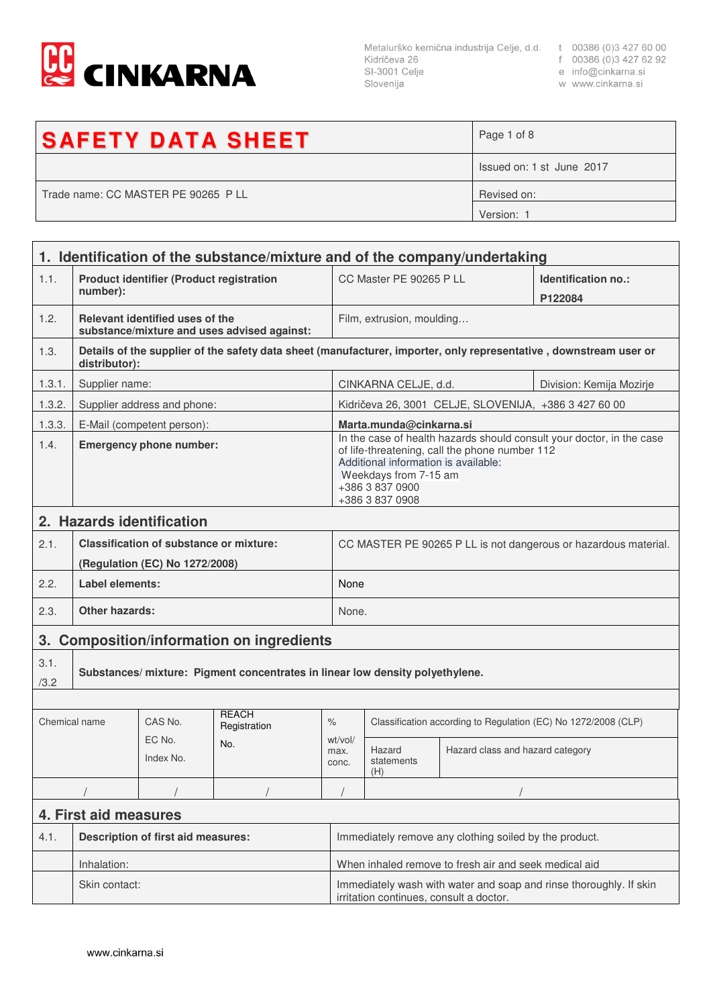

Metalurško kemična industrija Celje, d.d. t 00386 (0)3 427 60 00<br>Kidričeva 26 f 00386 (0)3 427 62 92<br>SI-3001 Celje e info@cinkarna.si<br>Slovenija w www.cinkarna.si Slovenija

- 
- 
- w www.cinkarna.si

| <b>SAFETY DATA SHEET</b>            | Page 1 of 8               |
|-------------------------------------|---------------------------|
|                                     | Issued on: 1 st June 2017 |
| Trade name: CC MASTER PE 90265 P LL | Revised on:               |
|                                     | Version: 1                |

|                       | 1. Identification of the substance/mixture and of the company/undertaking        |                                                 |                                             |                                                                                                                                                                                                                                |                                                                |                                                       |                                                                                                                   |
|-----------------------|----------------------------------------------------------------------------------|-------------------------------------------------|---------------------------------------------|--------------------------------------------------------------------------------------------------------------------------------------------------------------------------------------------------------------------------------|----------------------------------------------------------------|-------------------------------------------------------|-------------------------------------------------------------------------------------------------------------------|
| 1.1.                  | number):                                                                         | <b>Product identifier (Product registration</b> |                                             |                                                                                                                                                                                                                                | CC Master PE 90265 P LL                                        |                                                       | Identification no.:<br>P122084                                                                                    |
| 1.2.                  |                                                                                  | Relevant identified uses of the                 | substance/mixture and uses advised against: |                                                                                                                                                                                                                                | Film, extrusion, moulding                                      |                                                       |                                                                                                                   |
| 1.3.                  | distributor):                                                                    |                                                 |                                             |                                                                                                                                                                                                                                |                                                                |                                                       | Details of the supplier of the safety data sheet (manufacturer, importer, only representative, downstream user or |
| 1.3.1.                | Supplier name:                                                                   |                                                 |                                             |                                                                                                                                                                                                                                | CINKARNA CELJE, d.d.<br>Division: Kemija Mozirje               |                                                       |                                                                                                                   |
| 1.3.2.                |                                                                                  | Supplier address and phone:                     |                                             |                                                                                                                                                                                                                                |                                                                | Kidričeva 26, 3001 CELJE, SLOVENIJA, +386 3 427 60 00 |                                                                                                                   |
| 1.3.3.                |                                                                                  | E-Mail (competent person):                      |                                             |                                                                                                                                                                                                                                | Marta.munda@cinkarna.si                                        |                                                       |                                                                                                                   |
| 1.4.                  | <b>Emergency phone number:</b>                                                   |                                                 |                                             | In the case of health hazards should consult your doctor, in the case<br>of life-threatening, call the phone number 112<br>Additional information is available:<br>Weekdays from 7-15 am<br>+386 3 837 0900<br>+386 3 837 0908 |                                                                |                                                       |                                                                                                                   |
|                       |                                                                                  | 2. Hazards identification                       |                                             |                                                                                                                                                                                                                                |                                                                |                                                       |                                                                                                                   |
| 2.1.                  | <b>Classification of substance or mixture:</b><br>(Regulation (EC) No 1272/2008) |                                                 |                                             | CC MASTER PE 90265 P LL is not dangerous or hazardous material.                                                                                                                                                                |                                                                |                                                       |                                                                                                                   |
| 2.2.                  | Label elements:                                                                  |                                                 |                                             |                                                                                                                                                                                                                                | None                                                           |                                                       |                                                                                                                   |
| 2.3.                  | <b>Other hazards:</b>                                                            |                                                 |                                             |                                                                                                                                                                                                                                | None.                                                          |                                                       |                                                                                                                   |
| 3.                    | <b>Composition/information on ingredients</b>                                    |                                                 |                                             |                                                                                                                                                                                                                                |                                                                |                                                       |                                                                                                                   |
| 3.1.<br>/3.2          | Substances/mixture: Pigment concentrates in linear low density polyethylene.     |                                                 |                                             |                                                                                                                                                                                                                                |                                                                |                                                       |                                                                                                                   |
|                       |                                                                                  |                                                 |                                             |                                                                                                                                                                                                                                |                                                                |                                                       |                                                                                                                   |
| Chemical name         |                                                                                  | CAS No.                                         | <b>REACH</b><br>Registration                | $\%$                                                                                                                                                                                                                           | Classification according to Regulation (EC) No 1272/2008 (CLP) |                                                       |                                                                                                                   |
|                       | EC No.<br>No.<br>Index No.                                                       |                                                 | wt/vol/<br>max.<br>conc.                    | Hazard<br>statements<br>(H)                                                                                                                                                                                                    | Hazard class and hazard category                               |                                                       |                                                                                                                   |
|                       |                                                                                  |                                                 |                                             |                                                                                                                                                                                                                                |                                                                |                                                       |                                                                                                                   |
| 4. First aid measures |                                                                                  |                                                 |                                             |                                                                                                                                                                                                                                |                                                                |                                                       |                                                                                                                   |
| 4.1.                  | <b>Description of first aid measures:</b>                                        |                                                 |                                             | Immediately remove any clothing soiled by the product.                                                                                                                                                                         |                                                                |                                                       |                                                                                                                   |
|                       | Inhalation:                                                                      |                                                 |                                             | When inhaled remove to fresh air and seek medical aid                                                                                                                                                                          |                                                                |                                                       |                                                                                                                   |
|                       | Skin contact:                                                                    |                                                 |                                             | Immediately wash with water and soap and rinse thoroughly. If skin<br>irritation continues, consult a doctor.                                                                                                                  |                                                                |                                                       |                                                                                                                   |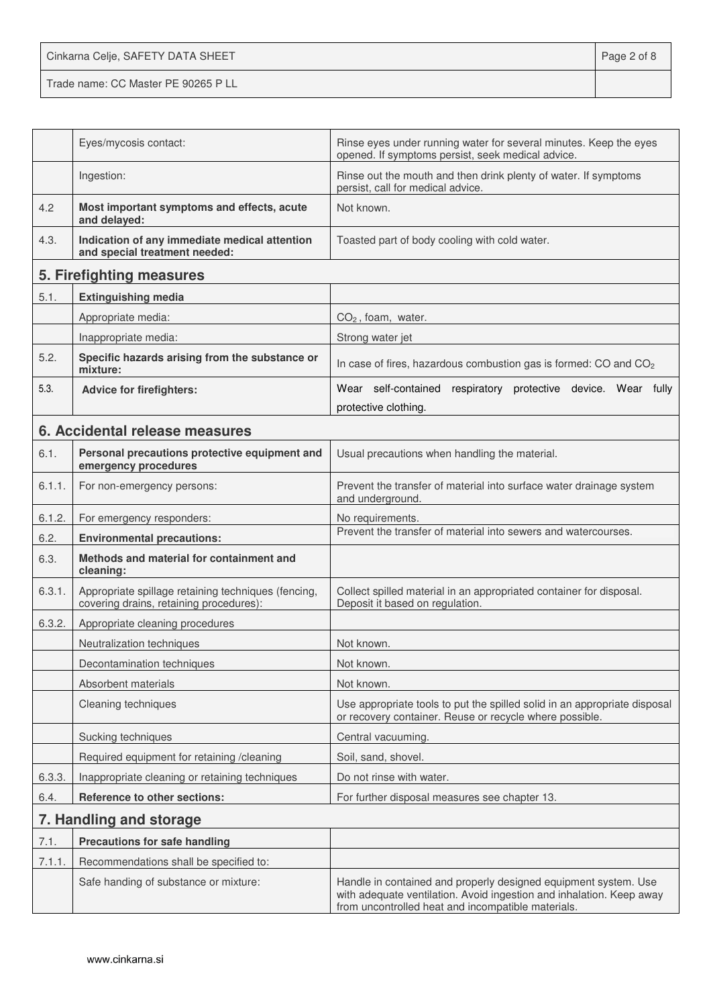Cinkarna Celje, SAFETY DATA SHEET **Page 2 of 8** Trade name: CC Master PE 90265 P LL

|        | Eyes/mycosis contact:                                                                          | Rinse eyes under running water for several minutes. Keep the eyes<br>opened. If symptoms persist, seek medical advice.                                                                        |  |
|--------|------------------------------------------------------------------------------------------------|-----------------------------------------------------------------------------------------------------------------------------------------------------------------------------------------------|--|
|        | Ingestion:                                                                                     | Rinse out the mouth and then drink plenty of water. If symptoms<br>persist, call for medical advice.                                                                                          |  |
| 4.2    | Most important symptoms and effects, acute<br>and delayed:                                     | Not known.                                                                                                                                                                                    |  |
| 4.3.   | Indication of any immediate medical attention<br>and special treatment needed:                 | Toasted part of body cooling with cold water.                                                                                                                                                 |  |
|        | 5. Firefighting measures                                                                       |                                                                                                                                                                                               |  |
| 5.1.   | <b>Extinguishing media</b>                                                                     |                                                                                                                                                                                               |  |
|        | Appropriate media:                                                                             | $CO2$ , foam, water.                                                                                                                                                                          |  |
|        | Inappropriate media:                                                                           | Strong water jet                                                                                                                                                                              |  |
| 5.2.   | Specific hazards arising from the substance or<br>mixture:                                     | In case of fires, hazardous combustion gas is formed: CO and CO <sub>2</sub>                                                                                                                  |  |
| 5.3.   | <b>Advice for firefighters:</b>                                                                | Wear self-contained respiratory protective device. Wear fully                                                                                                                                 |  |
|        |                                                                                                | protective clothing.                                                                                                                                                                          |  |
|        | 6. Accidental release measures                                                                 |                                                                                                                                                                                               |  |
| 6.1.   | Personal precautions protective equipment and<br>emergency procedures                          | Usual precautions when handling the material.                                                                                                                                                 |  |
| 6.1.1. | For non-emergency persons:                                                                     | Prevent the transfer of material into surface water drainage system<br>and underground.                                                                                                       |  |
| 6.1.2. | For emergency responders:                                                                      | No requirements.                                                                                                                                                                              |  |
| 6.2.   | <b>Environmental precautions:</b>                                                              | Prevent the transfer of material into sewers and watercourses.                                                                                                                                |  |
| 6.3.   | Methods and material for containment and<br>cleaning:                                          |                                                                                                                                                                                               |  |
| 6.3.1. | Appropriate spillage retaining techniques (fencing,<br>covering drains, retaining procedures): | Collect spilled material in an appropriated container for disposal.<br>Deposit it based on regulation.                                                                                        |  |
| 6.3.2. | Appropriate cleaning procedures                                                                |                                                                                                                                                                                               |  |
|        | Neutralization techniques                                                                      | Not known.                                                                                                                                                                                    |  |
|        | Decontamination techniques                                                                     | Not known.                                                                                                                                                                                    |  |
|        | Absorbent materials                                                                            | Not known.                                                                                                                                                                                    |  |
|        | Cleaning techniques                                                                            | Use appropriate tools to put the spilled solid in an appropriate disposal<br>or recovery container. Reuse or recycle where possible.                                                          |  |
|        | Sucking techniques                                                                             | Central vacuuming.                                                                                                                                                                            |  |
|        | Required equipment for retaining /cleaning                                                     | Soil, sand, shovel.                                                                                                                                                                           |  |
| 6.3.3. | Inappropriate cleaning or retaining techniques                                                 | Do not rinse with water.                                                                                                                                                                      |  |
| 6.4.   | Reference to other sections:                                                                   | For further disposal measures see chapter 13.                                                                                                                                                 |  |
|        | 7. Handling and storage                                                                        |                                                                                                                                                                                               |  |
| 7.1.   | <b>Precautions for safe handling</b>                                                           |                                                                                                                                                                                               |  |
| 7.1.1. | Recommendations shall be specified to:                                                         |                                                                                                                                                                                               |  |
|        | Safe handing of substance or mixture:                                                          | Handle in contained and properly designed equipment system. Use<br>with adequate ventilation. Avoid ingestion and inhalation. Keep away<br>from uncontrolled heat and incompatible materials. |  |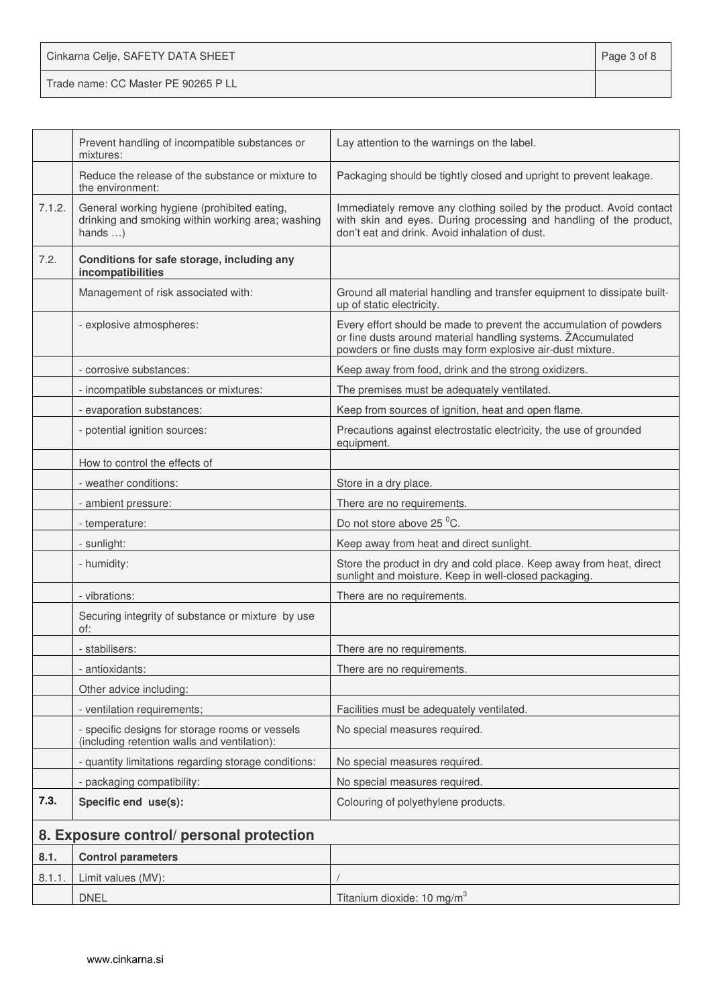| Cinkarna Celje, SAFETY DATA SHEET   | Page 3 of 8 |
|-------------------------------------|-------------|
| Trade name: CC Master PE 90265 P LL |             |

|        | Prevent handling of incompatible substances or<br>mixtures:                                                         | Lay attention to the warnings on the label.                                                                                                                                                      |
|--------|---------------------------------------------------------------------------------------------------------------------|--------------------------------------------------------------------------------------------------------------------------------------------------------------------------------------------------|
|        | Reduce the release of the substance or mixture to<br>the environment:                                               | Packaging should be tightly closed and upright to prevent leakage.                                                                                                                               |
| 7.1.2. | General working hygiene (prohibited eating,<br>drinking and smoking within working area; washing<br>hands $\dots$ ) | Immediately remove any clothing soiled by the product. Avoid contact<br>with skin and eyes. During processing and handling of the product,<br>don't eat and drink. Avoid inhalation of dust.     |
| 7.2.   | Conditions for safe storage, including any<br>incompatibilities                                                     |                                                                                                                                                                                                  |
|        | Management of risk associated with:                                                                                 | Ground all material handling and transfer equipment to dissipate built-<br>up of static electricity.                                                                                             |
|        | - explosive atmospheres:                                                                                            | Every effort should be made to prevent the accumulation of powders<br>or fine dusts around material handling systems. ŽAccumulated<br>powders or fine dusts may form explosive air-dust mixture. |
|        | - corrosive substances:                                                                                             | Keep away from food, drink and the strong oxidizers.                                                                                                                                             |
|        | - incompatible substances or mixtures:                                                                              | The premises must be adequately ventilated.                                                                                                                                                      |
|        | - evaporation substances:                                                                                           | Keep from sources of ignition, heat and open flame.                                                                                                                                              |
|        | - potential ignition sources:                                                                                       | Precautions against electrostatic electricity, the use of grounded<br>equipment.                                                                                                                 |
|        | How to control the effects of                                                                                       |                                                                                                                                                                                                  |
|        | - weather conditions:                                                                                               | Store in a dry place.                                                                                                                                                                            |
|        | - ambient pressure:                                                                                                 | There are no requirements.                                                                                                                                                                       |
|        | - temperature:                                                                                                      | Do not store above 25 °C.                                                                                                                                                                        |
|        | - sunlight:                                                                                                         | Keep away from heat and direct sunlight.                                                                                                                                                         |
|        | - humidity:                                                                                                         | Store the product in dry and cold place. Keep away from heat, direct<br>sunlight and moisture. Keep in well-closed packaging.                                                                    |
|        | - vibrations:                                                                                                       | There are no requirements.                                                                                                                                                                       |
|        | Securing integrity of substance or mixture by use<br>of:                                                            |                                                                                                                                                                                                  |
|        | - stabilisers:                                                                                                      | There are no requirements.                                                                                                                                                                       |
|        | - antioxidants:                                                                                                     | There are no requirements.                                                                                                                                                                       |
|        | Other advice including:                                                                                             |                                                                                                                                                                                                  |
|        | - ventilation requirements;                                                                                         | Facilities must be adequately ventilated.                                                                                                                                                        |
|        | - specific designs for storage rooms or vessels<br>(including retention walls and ventilation):                     | No special measures required.                                                                                                                                                                    |
|        | - quantity limitations regarding storage conditions:                                                                | No special measures required.                                                                                                                                                                    |
|        | - packaging compatibility:                                                                                          | No special measures required.                                                                                                                                                                    |
| 7.3.   | Specific end use(s):                                                                                                | Colouring of polyethylene products.                                                                                                                                                              |
|        | 8. Exposure control/ personal protection                                                                            |                                                                                                                                                                                                  |
| 8.1.   | <b>Control parameters</b>                                                                                           |                                                                                                                                                                                                  |
| 8.1.1. | Limit values (MV):                                                                                                  |                                                                                                                                                                                                  |
|        | <b>DNEL</b>                                                                                                         | Titanium dioxide: 10 mg/m <sup>3</sup>                                                                                                                                                           |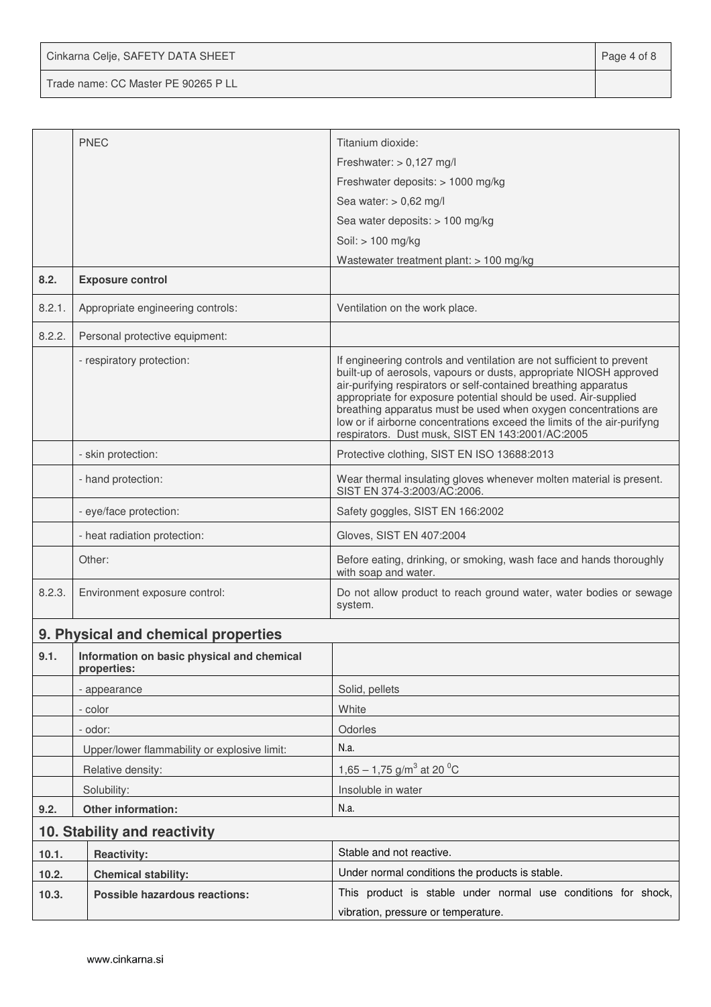Cinkarna Celje, SAFETY DATA SHEET **Page 4 of 8** 

Trade name: CC Master PE 90265 P LL

|        | <b>PNEC</b>                                               | Titanium dioxide:                                                                                                                                                                                                                                                                                                                                                                                                                                                                   |  |  |
|--------|-----------------------------------------------------------|-------------------------------------------------------------------------------------------------------------------------------------------------------------------------------------------------------------------------------------------------------------------------------------------------------------------------------------------------------------------------------------------------------------------------------------------------------------------------------------|--|--|
|        |                                                           | Freshwater: $> 0,127$ mg/l                                                                                                                                                                                                                                                                                                                                                                                                                                                          |  |  |
|        |                                                           | Freshwater deposits: > 1000 mg/kg                                                                                                                                                                                                                                                                                                                                                                                                                                                   |  |  |
|        |                                                           | Sea water: $> 0.62$ mg/l                                                                                                                                                                                                                                                                                                                                                                                                                                                            |  |  |
|        |                                                           | Sea water deposits: > 100 mg/kg                                                                                                                                                                                                                                                                                                                                                                                                                                                     |  |  |
|        |                                                           | Soil: > 100 mg/kg                                                                                                                                                                                                                                                                                                                                                                                                                                                                   |  |  |
|        |                                                           | Wastewater treatment plant: > 100 mg/kg                                                                                                                                                                                                                                                                                                                                                                                                                                             |  |  |
| 8.2.   | <b>Exposure control</b>                                   |                                                                                                                                                                                                                                                                                                                                                                                                                                                                                     |  |  |
| 8.2.1. | Appropriate engineering controls:                         | Ventilation on the work place.                                                                                                                                                                                                                                                                                                                                                                                                                                                      |  |  |
| 8.2.2. | Personal protective equipment:                            |                                                                                                                                                                                                                                                                                                                                                                                                                                                                                     |  |  |
|        | - respiratory protection:                                 | If engineering controls and ventilation are not sufficient to prevent<br>built-up of aerosols, vapours or dusts, appropriate NIOSH approved<br>air-purifying respirators or self-contained breathing apparatus<br>appropriate for exposure potential should be used. Air-supplied<br>breathing apparatus must be used when oxygen concentrations are<br>low or if airborne concentrations exceed the limits of the air-purifyng<br>respirators. Dust musk, SIST EN 143:2001/AC:2005 |  |  |
|        | - skin protection:                                        | Protective clothing, SIST EN ISO 13688:2013                                                                                                                                                                                                                                                                                                                                                                                                                                         |  |  |
|        | - hand protection:                                        | Wear thermal insulating gloves whenever molten material is present.<br>SIST EN 374-3:2003/AC:2006.                                                                                                                                                                                                                                                                                                                                                                                  |  |  |
|        | - eye/face protection:                                    | Safety goggles, SIST EN 166:2002                                                                                                                                                                                                                                                                                                                                                                                                                                                    |  |  |
|        | - heat radiation protection:                              | Gloves, SIST EN 407:2004                                                                                                                                                                                                                                                                                                                                                                                                                                                            |  |  |
|        | Other:                                                    | Before eating, drinking, or smoking, wash face and hands thoroughly<br>with soap and water.                                                                                                                                                                                                                                                                                                                                                                                         |  |  |
| 8.2.3. | Environment exposure control:                             | Do not allow product to reach ground water, water bodies or sewage<br>system.                                                                                                                                                                                                                                                                                                                                                                                                       |  |  |
|        | 9. Physical and chemical properties                       |                                                                                                                                                                                                                                                                                                                                                                                                                                                                                     |  |  |
| 9.1.   | Information on basic physical and chemical<br>properties: |                                                                                                                                                                                                                                                                                                                                                                                                                                                                                     |  |  |
|        | - appearance                                              | Solid, pellets                                                                                                                                                                                                                                                                                                                                                                                                                                                                      |  |  |
|        | - color                                                   | White                                                                                                                                                                                                                                                                                                                                                                                                                                                                               |  |  |
|        | - odor:                                                   | Odorles                                                                                                                                                                                                                                                                                                                                                                                                                                                                             |  |  |
|        | Upper/lower flammability or explosive limit:              | N.a.                                                                                                                                                                                                                                                                                                                                                                                                                                                                                |  |  |
|        | Relative density:                                         | 1,65 – 1,75 g/m <sup>3</sup> at 20 <sup>o</sup> C                                                                                                                                                                                                                                                                                                                                                                                                                                   |  |  |
|        | Solubility:                                               | Insoluble in water                                                                                                                                                                                                                                                                                                                                                                                                                                                                  |  |  |
| 9.2.   | Other information:                                        | N.a.                                                                                                                                                                                                                                                                                                                                                                                                                                                                                |  |  |
|        | 10. Stability and reactivity                              |                                                                                                                                                                                                                                                                                                                                                                                                                                                                                     |  |  |
| 10.1.  | <b>Reactivity:</b>                                        | Stable and not reactive.                                                                                                                                                                                                                                                                                                                                                                                                                                                            |  |  |
| 10.2.  | <b>Chemical stability:</b>                                | Under normal conditions the products is stable.                                                                                                                                                                                                                                                                                                                                                                                                                                     |  |  |
| 10.3.  | <b>Possible hazardous reactions:</b>                      | This product is stable under normal use conditions for shock,                                                                                                                                                                                                                                                                                                                                                                                                                       |  |  |
|        |                                                           | vibration, pressure or temperature.                                                                                                                                                                                                                                                                                                                                                                                                                                                 |  |  |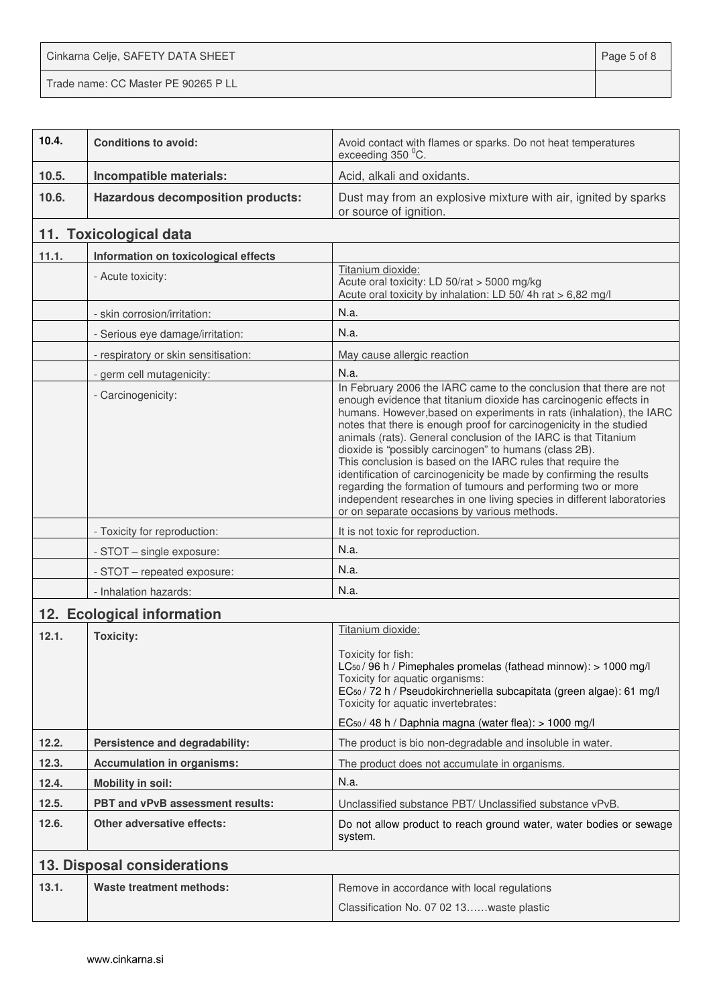Cinkarna Celje, SAFETY DATA SHEET **Page 5 of 8** Trade name: CC Master PE 90265 P LL

| 10.4. | <b>Conditions to avoid:</b>              | Avoid contact with flames or sparks. Do not heat temperatures<br>exceeding 350 °C.                                                                                                                                                                                                                                                                                                                                                                                                                                                                                                                                                                                                                                                                    |
|-------|------------------------------------------|-------------------------------------------------------------------------------------------------------------------------------------------------------------------------------------------------------------------------------------------------------------------------------------------------------------------------------------------------------------------------------------------------------------------------------------------------------------------------------------------------------------------------------------------------------------------------------------------------------------------------------------------------------------------------------------------------------------------------------------------------------|
| 10.5. | Incompatible materials:                  | Acid, alkali and oxidants.                                                                                                                                                                                                                                                                                                                                                                                                                                                                                                                                                                                                                                                                                                                            |
| 10.6. | <b>Hazardous decomposition products:</b> | Dust may from an explosive mixture with air, ignited by sparks<br>or source of ignition.                                                                                                                                                                                                                                                                                                                                                                                                                                                                                                                                                                                                                                                              |
|       | 11. Toxicological data                   |                                                                                                                                                                                                                                                                                                                                                                                                                                                                                                                                                                                                                                                                                                                                                       |
| 11.1. | Information on toxicological effects     |                                                                                                                                                                                                                                                                                                                                                                                                                                                                                                                                                                                                                                                                                                                                                       |
|       | - Acute toxicity:                        | Titanium dioxide:<br>Acute oral toxicity: LD 50/rat > 5000 mg/kg<br>Acute oral toxicity by inhalation: LD 50/4h rat > 6,82 mg/l                                                                                                                                                                                                                                                                                                                                                                                                                                                                                                                                                                                                                       |
|       | - skin corrosion/irritation:             | N.a.                                                                                                                                                                                                                                                                                                                                                                                                                                                                                                                                                                                                                                                                                                                                                  |
|       | - Serious eye damage/irritation:         | N.a.                                                                                                                                                                                                                                                                                                                                                                                                                                                                                                                                                                                                                                                                                                                                                  |
|       | - respiratory or skin sensitisation:     | May cause allergic reaction                                                                                                                                                                                                                                                                                                                                                                                                                                                                                                                                                                                                                                                                                                                           |
|       | - germ cell mutagenicity:                | N.a.                                                                                                                                                                                                                                                                                                                                                                                                                                                                                                                                                                                                                                                                                                                                                  |
|       | - Carcinogenicity:                       | In February 2006 the IARC came to the conclusion that there are not<br>enough evidence that titanium dioxide has carcinogenic effects in<br>humans. However, based on experiments in rats (inhalation), the IARC<br>notes that there is enough proof for carcinogenicity in the studied<br>animals (rats). General conclusion of the IARC is that Titanium<br>dioxide is "possibly carcinogen" to humans (class 2B).<br>This conclusion is based on the IARC rules that require the<br>identification of carcinogenicity be made by confirming the results<br>regarding the formation of tumours and performing two or more<br>independent researches in one living species in different laboratories<br>or on separate occasions by various methods. |
|       | - Toxicity for reproduction:             | It is not toxic for reproduction.                                                                                                                                                                                                                                                                                                                                                                                                                                                                                                                                                                                                                                                                                                                     |
|       | - STOT - single exposure:                | N.a.                                                                                                                                                                                                                                                                                                                                                                                                                                                                                                                                                                                                                                                                                                                                                  |
|       | - STOT - repeated exposure:              | N.a.                                                                                                                                                                                                                                                                                                                                                                                                                                                                                                                                                                                                                                                                                                                                                  |
|       | - Inhalation hazards:                    | N.a.                                                                                                                                                                                                                                                                                                                                                                                                                                                                                                                                                                                                                                                                                                                                                  |
|       | 12. Ecological information               |                                                                                                                                                                                                                                                                                                                                                                                                                                                                                                                                                                                                                                                                                                                                                       |
| 12.1. | <b>Toxicity:</b>                         | Titanium dioxide:<br>Toxicity for fish:<br>LC <sub>50</sub> / 96 h / Pimephales promelas (fathead minnow): > 1000 mg/l<br>Toxicity for aquatic organisms:<br>EC <sub>50</sub> / 72 h / Pseudokirchneriella subcapitata (green algae): 61 mg/l<br>Toxicity for aquatic invertebrates:<br>EC <sub>50</sub> / 48 h / Daphnia magna (water flea): > 1000 mg/l                                                                                                                                                                                                                                                                                                                                                                                             |
| 12.2. | Persistence and degradability:           | The product is bio non-degradable and insoluble in water.                                                                                                                                                                                                                                                                                                                                                                                                                                                                                                                                                                                                                                                                                             |
| 12.3. | <b>Accumulation in organisms:</b>        | The product does not accumulate in organisms.                                                                                                                                                                                                                                                                                                                                                                                                                                                                                                                                                                                                                                                                                                         |
| 12.4. | <b>Mobility in soil:</b>                 | N.a.                                                                                                                                                                                                                                                                                                                                                                                                                                                                                                                                                                                                                                                                                                                                                  |
| 12.5. | PBT and vPvB assessment results:         | Unclassified substance PBT/ Unclassified substance vPvB.                                                                                                                                                                                                                                                                                                                                                                                                                                                                                                                                                                                                                                                                                              |
| 12.6. | <b>Other adversative effects:</b>        | Do not allow product to reach ground water, water bodies or sewage<br>system.                                                                                                                                                                                                                                                                                                                                                                                                                                                                                                                                                                                                                                                                         |
|       | 13. Disposal considerations              |                                                                                                                                                                                                                                                                                                                                                                                                                                                                                                                                                                                                                                                                                                                                                       |
| 13.1. | <b>Waste treatment methods:</b>          | Remove in accordance with local regulations<br>Classification No. 07 02 13waste plastic                                                                                                                                                                                                                                                                                                                                                                                                                                                                                                                                                                                                                                                               |
|       |                                          |                                                                                                                                                                                                                                                                                                                                                                                                                                                                                                                                                                                                                                                                                                                                                       |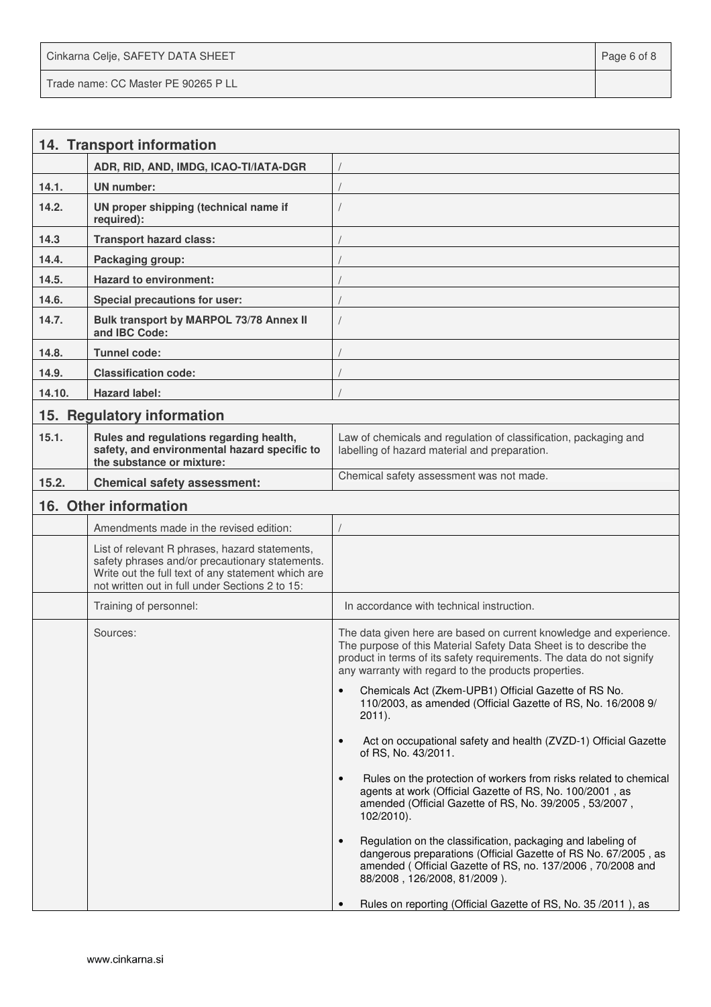Cinkarna Celje, SAFETY DATA SHEET **Page 6 of 8** and 2011 12 and 2012 12 and 2012 12 and 2012 12 and 2012 12 and 201 Trade name: CC Master PE 90265 P LL

|        | 14. Transport information                                                                                                                                                                                  |                                                                                                                                                                                                                                                                         |
|--------|------------------------------------------------------------------------------------------------------------------------------------------------------------------------------------------------------------|-------------------------------------------------------------------------------------------------------------------------------------------------------------------------------------------------------------------------------------------------------------------------|
|        | ADR, RID, AND, IMDG, ICAO-TI/IATA-DGR                                                                                                                                                                      |                                                                                                                                                                                                                                                                         |
| 14.1.  | <b>UN</b> number:                                                                                                                                                                                          |                                                                                                                                                                                                                                                                         |
| 14.2.  | UN proper shipping (technical name if<br>required):                                                                                                                                                        |                                                                                                                                                                                                                                                                         |
| 14.3   | <b>Transport hazard class:</b>                                                                                                                                                                             |                                                                                                                                                                                                                                                                         |
| 14.4.  | Packaging group:                                                                                                                                                                                           |                                                                                                                                                                                                                                                                         |
| 14.5.  | <b>Hazard to environment:</b>                                                                                                                                                                              |                                                                                                                                                                                                                                                                         |
| 14.6.  | Special precautions for user:                                                                                                                                                                              |                                                                                                                                                                                                                                                                         |
| 14.7.  | Bulk transport by MARPOL 73/78 Annex II<br>and IBC Code:                                                                                                                                                   |                                                                                                                                                                                                                                                                         |
| 14.8.  | <b>Tunnel code:</b>                                                                                                                                                                                        |                                                                                                                                                                                                                                                                         |
| 14.9.  | <b>Classification code:</b>                                                                                                                                                                                |                                                                                                                                                                                                                                                                         |
| 14.10. | <b>Hazard label:</b>                                                                                                                                                                                       |                                                                                                                                                                                                                                                                         |
|        | 15. Regulatory information                                                                                                                                                                                 |                                                                                                                                                                                                                                                                         |
| 15.1.  | Rules and regulations regarding health,<br>safety, and environmental hazard specific to<br>the substance or mixture:                                                                                       | Law of chemicals and regulation of classification, packaging and<br>labelling of hazard material and preparation.                                                                                                                                                       |
| 15.2.  | <b>Chemical safety assessment:</b>                                                                                                                                                                         | Chemical safety assessment was not made.                                                                                                                                                                                                                                |
|        | 16. Other information                                                                                                                                                                                      |                                                                                                                                                                                                                                                                         |
|        | Amendments made in the revised edition:                                                                                                                                                                    |                                                                                                                                                                                                                                                                         |
|        | List of relevant R phrases, hazard statements,<br>safety phrases and/or precautionary statements.<br>Write out the full text of any statement which are<br>not written out in full under Sections 2 to 15: |                                                                                                                                                                                                                                                                         |
|        | Training of personnel:                                                                                                                                                                                     | In accordance with technical instruction.                                                                                                                                                                                                                               |
|        | Sources:                                                                                                                                                                                                   | The data given here are based on current knowledge and experience.<br>The purpose of this Material Safety Data Sheet is to describe the<br>product in terms of its safety requirements. The data do not signify<br>any warranty with regard to the products properties. |
|        |                                                                                                                                                                                                            | Chemicals Act (Zkem-UPB1) Official Gazette of RS No.<br>$\bullet$<br>110/2003, as amended (Official Gazette of RS, No. 16/2008 9/<br>$2011$ ).                                                                                                                          |
|        |                                                                                                                                                                                                            | Act on occupational safety and health (ZVZD-1) Official Gazette<br>$\bullet$<br>of RS, No. 43/2011.                                                                                                                                                                     |
|        |                                                                                                                                                                                                            | Rules on the protection of workers from risks related to chemical<br>$\bullet$<br>agents at work (Official Gazette of RS, No. 100/2001, as<br>amended (Official Gazette of RS, No. 39/2005, 53/2007,<br>$102/2010$ ).                                                   |
|        |                                                                                                                                                                                                            | Regulation on the classification, packaging and labeling of<br>$\bullet$<br>dangerous preparations (Official Gazette of RS No. 67/2005, as<br>amended (Official Gazette of RS, no. 137/2006, 70/2008 and<br>88/2008, 126/2008, 81/2009).                                |
|        |                                                                                                                                                                                                            | Rules on reporting (Official Gazette of RS, No. 35/2011), as                                                                                                                                                                                                            |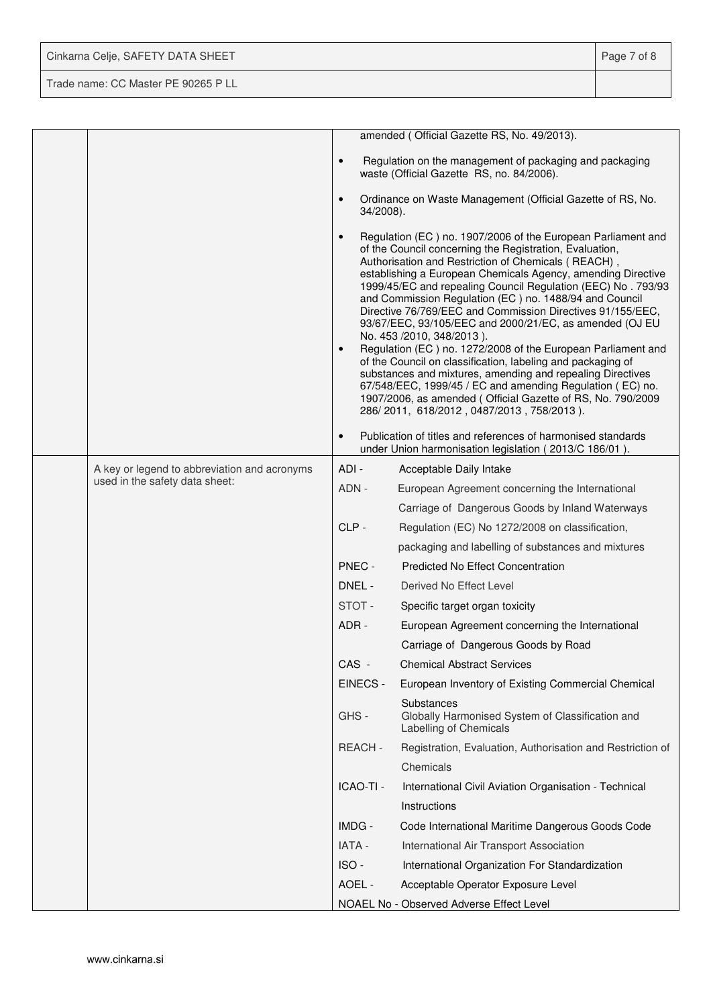| Cinkarna Celje, SAFETY DATA SHEET   | Page 7 of 8 |
|-------------------------------------|-------------|
| Trade name: CC Master PE 90265 P LL |             |

|                                              |                           | amended (Official Gazette RS, No. 49/2013).                                                                                                                                                                                                                                                                                                                                                                                                                                                                                                                                                                                                                                                                                                                                                                                                                                                          |
|----------------------------------------------|---------------------------|------------------------------------------------------------------------------------------------------------------------------------------------------------------------------------------------------------------------------------------------------------------------------------------------------------------------------------------------------------------------------------------------------------------------------------------------------------------------------------------------------------------------------------------------------------------------------------------------------------------------------------------------------------------------------------------------------------------------------------------------------------------------------------------------------------------------------------------------------------------------------------------------------|
|                                              | $\bullet$                 | Regulation on the management of packaging and packaging<br>waste (Official Gazette RS, no. 84/2006).                                                                                                                                                                                                                                                                                                                                                                                                                                                                                                                                                                                                                                                                                                                                                                                                 |
|                                              | $\bullet$<br>$34/2008$ ). | Ordinance on Waste Management (Official Gazette of RS, No.                                                                                                                                                                                                                                                                                                                                                                                                                                                                                                                                                                                                                                                                                                                                                                                                                                           |
|                                              | $\bullet$<br>$\bullet$    | Regulation (EC) no. 1907/2006 of the European Parliament and<br>of the Council concerning the Registration, Evaluation,<br>Authorisation and Restriction of Chemicals (REACH),<br>establishing a European Chemicals Agency, amending Directive<br>1999/45/EC and repealing Council Regulation (EEC) No. 793/93<br>and Commission Regulation (EC) no. 1488/94 and Council<br>Directive 76/769/EEC and Commission Directives 91/155/EEC,<br>93/67/EEC, 93/105/EEC and 2000/21/EC, as amended (OJ EU<br>No. 453 /2010, 348/2013).<br>Regulation (EC) no. 1272/2008 of the European Parliament and<br>of the Council on classification, labeling and packaging of<br>substances and mixtures, amending and repealing Directives<br>67/548/EEC, 1999/45 / EC and amending Regulation (EC) no.<br>1907/2006, as amended (Official Gazette of RS, No. 790/2009<br>286/2011, 618/2012, 0487/2013, 758/2013). |
|                                              | $\bullet$                 | Publication of titles and references of harmonised standards<br>under Union harmonisation legislation (2013/C 186/01).                                                                                                                                                                                                                                                                                                                                                                                                                                                                                                                                                                                                                                                                                                                                                                               |
| A key or legend to abbreviation and acronyms | ADI -                     | Acceptable Daily Intake                                                                                                                                                                                                                                                                                                                                                                                                                                                                                                                                                                                                                                                                                                                                                                                                                                                                              |
| used in the safety data sheet:               | ADN -                     | European Agreement concerning the International                                                                                                                                                                                                                                                                                                                                                                                                                                                                                                                                                                                                                                                                                                                                                                                                                                                      |
|                                              |                           | Carriage of Dangerous Goods by Inland Waterways                                                                                                                                                                                                                                                                                                                                                                                                                                                                                                                                                                                                                                                                                                                                                                                                                                                      |
|                                              | $CLP -$                   | Regulation (EC) No 1272/2008 on classification,                                                                                                                                                                                                                                                                                                                                                                                                                                                                                                                                                                                                                                                                                                                                                                                                                                                      |
|                                              |                           | packaging and labelling of substances and mixtures                                                                                                                                                                                                                                                                                                                                                                                                                                                                                                                                                                                                                                                                                                                                                                                                                                                   |
|                                              | PNEC -                    | <b>Predicted No Effect Concentration</b>                                                                                                                                                                                                                                                                                                                                                                                                                                                                                                                                                                                                                                                                                                                                                                                                                                                             |
|                                              | DNEL -                    | Derived No Effect Level                                                                                                                                                                                                                                                                                                                                                                                                                                                                                                                                                                                                                                                                                                                                                                                                                                                                              |
|                                              | STOT-                     | Specific target organ toxicity                                                                                                                                                                                                                                                                                                                                                                                                                                                                                                                                                                                                                                                                                                                                                                                                                                                                       |
|                                              | ADR -                     | European Agreement concerning the International                                                                                                                                                                                                                                                                                                                                                                                                                                                                                                                                                                                                                                                                                                                                                                                                                                                      |
|                                              |                           | Carriage of Dangerous Goods by Road                                                                                                                                                                                                                                                                                                                                                                                                                                                                                                                                                                                                                                                                                                                                                                                                                                                                  |
|                                              | CAS -                     | <b>Chemical Abstract Services</b>                                                                                                                                                                                                                                                                                                                                                                                                                                                                                                                                                                                                                                                                                                                                                                                                                                                                    |
|                                              | EINECS -                  | European Inventory of Existing Commercial Chemical                                                                                                                                                                                                                                                                                                                                                                                                                                                                                                                                                                                                                                                                                                                                                                                                                                                   |
|                                              | GHS-                      | Substances<br>Globally Harmonised System of Classification and<br>Labelling of Chemicals                                                                                                                                                                                                                                                                                                                                                                                                                                                                                                                                                                                                                                                                                                                                                                                                             |
|                                              | REACH-                    | Registration, Evaluation, Authorisation and Restriction of                                                                                                                                                                                                                                                                                                                                                                                                                                                                                                                                                                                                                                                                                                                                                                                                                                           |
|                                              |                           | Chemicals                                                                                                                                                                                                                                                                                                                                                                                                                                                                                                                                                                                                                                                                                                                                                                                                                                                                                            |
|                                              | ICAO-TI -                 | International Civil Aviation Organisation - Technical                                                                                                                                                                                                                                                                                                                                                                                                                                                                                                                                                                                                                                                                                                                                                                                                                                                |
|                                              |                           | Instructions                                                                                                                                                                                                                                                                                                                                                                                                                                                                                                                                                                                                                                                                                                                                                                                                                                                                                         |
|                                              | IMDG -                    | Code International Maritime Dangerous Goods Code                                                                                                                                                                                                                                                                                                                                                                                                                                                                                                                                                                                                                                                                                                                                                                                                                                                     |
|                                              | <b>IATA -</b>             | International Air Transport Association                                                                                                                                                                                                                                                                                                                                                                                                                                                                                                                                                                                                                                                                                                                                                                                                                                                              |
|                                              | ISO-                      | International Organization For Standardization                                                                                                                                                                                                                                                                                                                                                                                                                                                                                                                                                                                                                                                                                                                                                                                                                                                       |
|                                              | AOEL -                    | Acceptable Operator Exposure Level                                                                                                                                                                                                                                                                                                                                                                                                                                                                                                                                                                                                                                                                                                                                                                                                                                                                   |
|                                              |                           | NOAEL No - Observed Adverse Effect Level                                                                                                                                                                                                                                                                                                                                                                                                                                                                                                                                                                                                                                                                                                                                                                                                                                                             |